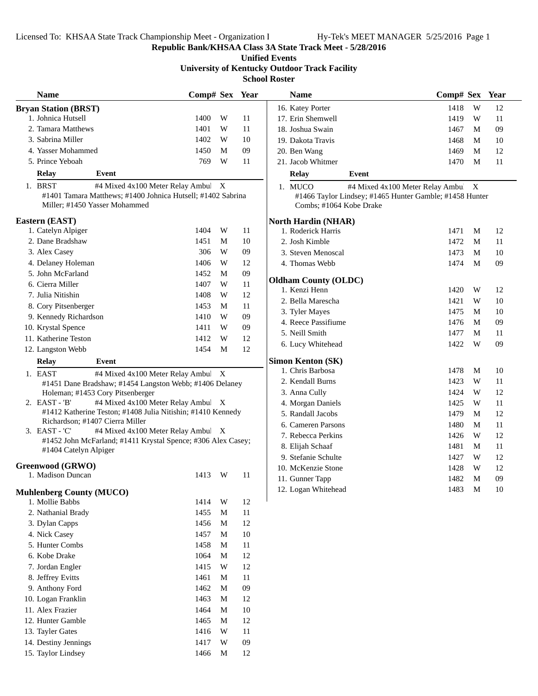Licensed To: KHSAA State Track Championship Meet - Organization I Hy-Tek's MEET MANAGER 5/25/2016 Page 1

**Republic Bank/KHSAA Class 3A State Track Meet - 5/28/2016**

**Unified Events University of Kentucky Outdoor Track Facility School Roster**

| <b>Name</b>                                                                                  | Comp# Sex Year                     |             |    | <b>Name</b>                                  |                                                                                    | Comp# Sex Year |   |    |
|----------------------------------------------------------------------------------------------|------------------------------------|-------------|----|----------------------------------------------|------------------------------------------------------------------------------------|----------------|---|----|
| <b>Bryan Station (BRST)</b>                                                                  |                                    |             |    | 16. Katey Porter                             |                                                                                    | 1418           | W | 12 |
| 1. Johnica Hutsell                                                                           | 1400                               | W           | 11 | 17. Erin Shemwell                            |                                                                                    | 1419           | W | 11 |
| 2. Tamara Matthews                                                                           | 1401                               | W           | 11 | 18. Joshua Swain                             |                                                                                    | 1467           | M | 09 |
| 3. Sabrina Miller                                                                            | 1402                               | W           | 10 | 19. Dakota Travis                            |                                                                                    | 1468           | M | 10 |
| 4. Yasser Mohammed                                                                           | 1450                               | M           | 09 | 20. Ben Wang                                 |                                                                                    | 1469           | M | 12 |
| 5. Prince Yeboah                                                                             | 769                                | W           | 11 | 21. Jacob Whitmer                            |                                                                                    | 1470           | M | 11 |
| Event<br><b>Relay</b>                                                                        |                                    |             |    | <b>Relay</b>                                 | Event                                                                              |                |   |    |
| 1. BRST                                                                                      | #4 Mixed 4x100 Meter Relay Ambul X |             |    | 1. MUCO                                      | #4 Mixed 4x100 Meter Relay Ambul X                                                 |                |   |    |
| #1401 Tamara Matthews; #1400 Johnica Hutsell; #1402 Sabrina<br>Miller; #1450 Yasser Mohammed |                                    |             |    |                                              | #1466 Taylor Lindsey; #1465 Hunter Gamble; #1458 Hunter<br>Combs; #1064 Kobe Drake |                |   |    |
| Eastern (EAST)                                                                               |                                    |             |    | <b>North Hardin (NHAR)</b>                   |                                                                                    |                |   |    |
| 1. Catelyn Alpiger                                                                           | 1404                               | W           | 11 | 1. Roderick Harris                           |                                                                                    | 1471           | M | 12 |
| 2. Dane Bradshaw                                                                             | 1451                               | M           | 10 | 2. Josh Kimble                               |                                                                                    | 1472           | M | 11 |
| 3. Alex Casey                                                                                | 306                                | W           | 09 | 3. Steven Menoscal                           |                                                                                    | 1473           | M | 10 |
| 4. Delaney Holeman                                                                           | 1406                               | W           | 12 | 4. Thomas Webb                               |                                                                                    | 1474           | M | 09 |
| 5. John McFarland                                                                            | 1452                               | M           | 09 |                                              |                                                                                    |                |   |    |
| 6. Cierra Miller                                                                             | 1407                               | W           | 11 | <b>Oldham County (OLDC)</b><br>1. Kenzi Henn |                                                                                    | 1420           | W |    |
| 7. Julia Nitishin                                                                            | 1408                               | W           | 12 |                                              |                                                                                    |                |   | 12 |
| 8. Cory Pitsenberger                                                                         | 1453                               | M           | 11 | 2. Bella Marescha                            |                                                                                    | 1421           | W | 10 |
| 9. Kennedy Richardson                                                                        | 1410                               | W           | 09 | 3. Tyler Mayes                               |                                                                                    | 1475           | M | 10 |
| 10. Krystal Spence                                                                           | 1411                               | W           | 09 | 4. Reece Passifiume                          |                                                                                    | 1476           | M | 09 |
| 11. Katherine Teston                                                                         | 1412                               | W           | 12 | 5. Neill Smith                               |                                                                                    | 1477           | M | 11 |
| 12. Langston Webb                                                                            | 1454                               | M           | 12 | 6. Lucy Whitehead                            |                                                                                    | 1422           | W | 09 |
| Event<br><b>Relay</b>                                                                        |                                    |             |    | <b>Simon Kenton (SK)</b>                     |                                                                                    |                |   |    |
| 1. EAST                                                                                      | #4 Mixed 4x100 Meter Relay Ambul X |             |    | 1. Chris Barbosa                             |                                                                                    | 1478           | M | 10 |
| #1451 Dane Bradshaw; #1454 Langston Webb; #1406 Delaney                                      |                                    |             |    | 2. Kendall Burns                             |                                                                                    | 1423           | W | 11 |
| Holeman; #1453 Cory Pitsenberger                                                             |                                    |             |    | 3. Anna Cully                                |                                                                                    | 1424           | W | 12 |
| 2. EAST - 'B'                                                                                | #4 Mixed 4x100 Meter Relay Ambul X |             |    | 4. Morgan Daniels                            |                                                                                    | 1425           | W | 11 |
| #1412 Katherine Teston; #1408 Julia Nitishin; #1410 Kennedy                                  |                                    |             |    | 5. Randall Jacobs                            |                                                                                    | 1479           | M | 12 |
| Richardson; #1407 Cierra Miller                                                              |                                    |             |    | 6. Cameren Parsons                           |                                                                                    | 1480           | M | 11 |
| 3. EAST - 'C'                                                                                | #4 Mixed 4x100 Meter Relay Ambul X |             |    | 7. Rebecca Perkins                           |                                                                                    | 1426           | W | 12 |
| #1452 John McFarland; #1411 Krystal Spence; #306 Alex Casey;<br>#1404 Catelyn Alpiger        |                                    |             |    | 8. Elijah Schaaf                             |                                                                                    | 1481           | M | 11 |
|                                                                                              |                                    |             |    | 9. Stefanie Schulte                          |                                                                                    | 1427           | W | 12 |
| Greenwood (GRWO)                                                                             |                                    |             |    | 10. McKenzie Stone                           |                                                                                    | 1428           | W | 12 |
| 1. Madison Duncan                                                                            | 1413                               | W           | 11 | 11. Gunner Tapp                              |                                                                                    | 1482           | M | 09 |
| <b>Muhlenberg County (MUCO)</b>                                                              |                                    |             |    | 12. Logan Whitehead                          |                                                                                    | 1483           | M | 10 |
| 1. Mollie Babbs                                                                              | 1414                               | W           | 12 |                                              |                                                                                    |                |   |    |
| 2. Nathanial Brady                                                                           | 1455                               | M           | 11 |                                              |                                                                                    |                |   |    |
| 3. Dylan Capps                                                                               | 1456                               | $\mathbf M$ | 12 |                                              |                                                                                    |                |   |    |
| 4. Nick Casey                                                                                | 1457                               | M           | 10 |                                              |                                                                                    |                |   |    |
| 5. Hunter Combs                                                                              | 1458                               | M           | 11 |                                              |                                                                                    |                |   |    |
| 6. Kobe Drake                                                                                | 1064                               | $\mathbf M$ | 12 |                                              |                                                                                    |                |   |    |
| 7. Jordan Engler                                                                             | 1415                               | W           | 12 |                                              |                                                                                    |                |   |    |
| 8. Jeffrey Evitts                                                                            | 1461                               | M           | 11 |                                              |                                                                                    |                |   |    |
| 9. Anthony Ford                                                                              | 1462                               | M           | 09 |                                              |                                                                                    |                |   |    |
| 10. Logan Franklin                                                                           | 1463                               | M           | 12 |                                              |                                                                                    |                |   |    |
| 11. Alex Frazier                                                                             | 1464                               | M           | 10 |                                              |                                                                                    |                |   |    |
| 12. Hunter Gamble                                                                            | 1465                               | M           | 12 |                                              |                                                                                    |                |   |    |
| 13. Tayler Gates                                                                             | 1416                               | W           | 11 |                                              |                                                                                    |                |   |    |
| 14. Destiny Jennings                                                                         | 1417                               | W           | 09 |                                              |                                                                                    |                |   |    |
| 15. Taylor Lindsey                                                                           | 1466                               | M           | 12 |                                              |                                                                                    |                |   |    |
|                                                                                              |                                    |             |    |                                              |                                                                                    |                |   |    |

| <b>Name</b>                        |                                                                                             | Comp# Sex |   | Year |  |
|------------------------------------|---------------------------------------------------------------------------------------------|-----------|---|------|--|
| 16. Katey Porter                   |                                                                                             | 1418      | W | 12   |  |
| 17. Erin Shemwell                  |                                                                                             | 1419      | W | 11   |  |
| 18. Joshua Swain                   |                                                                                             | 1467      | M | 09   |  |
| 19. Dakota Travis                  |                                                                                             | 1468      | М | 10   |  |
| 20. Ben Wang                       |                                                                                             | 1469      | М | 12   |  |
| 21. Jacob Whitmer                  |                                                                                             | 1470      | М | 11   |  |
| <b>Relay</b>                       | Event                                                                                       |           |   |      |  |
| 1. MUCO<br>Combs; #1064 Kobe Drake | #4 Mixed 4x100 Meter Relay Ambul<br>#1466 Taylor Lindsey; #1465 Hunter Gamble; #1458 Hunter |           | X |      |  |
| <b>North Hardin (NHAR)</b>         |                                                                                             |           |   |      |  |
| 1. Roderick Harris                 |                                                                                             | 1471      | M | 12   |  |
| 2. Josh Kimble                     |                                                                                             | 1472      | М | 11   |  |
| 3. Steven Menoscal                 |                                                                                             | 1473      | М | 10   |  |
| 4. Thomas Webb                     |                                                                                             | 1474      | М | 09   |  |
| <b>Oldham County (OLDC)</b>        |                                                                                             |           |   |      |  |
| 1. Kenzi Henn                      |                                                                                             | 1420      | W | 12   |  |
| 2. Bella Marescha                  |                                                                                             | 1421      | W | 10   |  |
| 3. Tyler Mayes                     |                                                                                             | 1475      | M | 10   |  |
| 4. Reece Passifiume                |                                                                                             | 1476      | M | 09   |  |
| 5. Neill Smith                     |                                                                                             | 1477      | М | 11   |  |
| 6. Lucy Whitehead                  |                                                                                             | 1422      | W | 09   |  |
| <b>Simon Kenton (SK)</b>           |                                                                                             |           |   |      |  |
| 1. Chris Barbosa                   |                                                                                             | 1478      | М | 10   |  |
| 2. Kendall Burns                   |                                                                                             | 1423      | W | 11   |  |
| 3. Anna Cully                      |                                                                                             | 1424      | W | 12   |  |
| 4. Morgan Daniels                  |                                                                                             | 1425      | W | 11   |  |
| 5. Randall Jacobs                  |                                                                                             | 1479      | М | 12   |  |
| 6. Cameren Parsons                 |                                                                                             | 1480      | М | 11   |  |
| 7. Rebecca Perkins                 |                                                                                             | 1426      | W | 12   |  |
| 8. Elijah Schaaf                   |                                                                                             | 1481      | M | 11   |  |
| 9. Stefanie Schulte                |                                                                                             | 1427      | W | 12   |  |
| 10. McKenzie Stone                 |                                                                                             | 1428      | W | 12   |  |
| 11. Gunner Tapp                    |                                                                                             | 1482      | M | 09   |  |
| 12. Logan Whitehead                |                                                                                             | 1483      | М | 10   |  |
|                                    |                                                                                             |           |   |      |  |